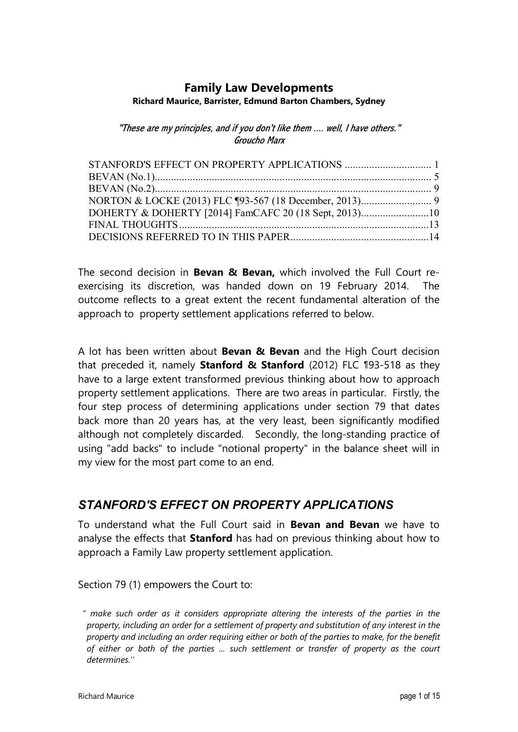# **Family Law Developments**

#### **Richard Maurice, Barrister, Edmund Barton Chambers, Sydney**

"These are my principles, and if you don't like them .... well, I have others." Groucho Marx

| DOHERTY & DOHERTY [2014] FamCAFC 20 (18 Sept, 2013)10 |  |
|-------------------------------------------------------|--|
|                                                       |  |
|                                                       |  |

The second decision in **Bevan & Bevan,** which involved the Full Court reexercising its discretion, was handed down on 19 February 2014. The outcome reflects to a great extent the recent fundamental alteration of the approach to property settlement applications referred to below.

A lot has been written about **Bevan & Bevan** and the High Court decision that preceded it, namely **Stanford & Stanford** (2012) FLC ¶93-518 as they have to a large extent transformed previous thinking about how to approach property settlement applications. There are two areas in particular. Firstly, the four step process of determining applications under section 79 that dates back more than 20 years has, at the very least, been significantly modified although not completely discarded. Secondly, the long-standing practice of using "add backs" to include "notional property" in the balance sheet will in my view for the most part come to an end.

### *STANFORD'S EFFECT ON PROPERTY APPLICATIONS*

To understand what the Full Court said in **Bevan and Bevan** we have to analyse the effects that **Stanford** has had on previous thinking about how to approach a Family Law property settlement application.

Section 79 (1) empowers the Court to:

*" make such order as it considers appropriate altering the interests of the parties in the property, including an order for a settlement of property and substitution of any interest in the property and including an order requiring either or both of the parties to make, for the benefit of either or both of the parties ... such settlement or transfer of property as the court determines.''*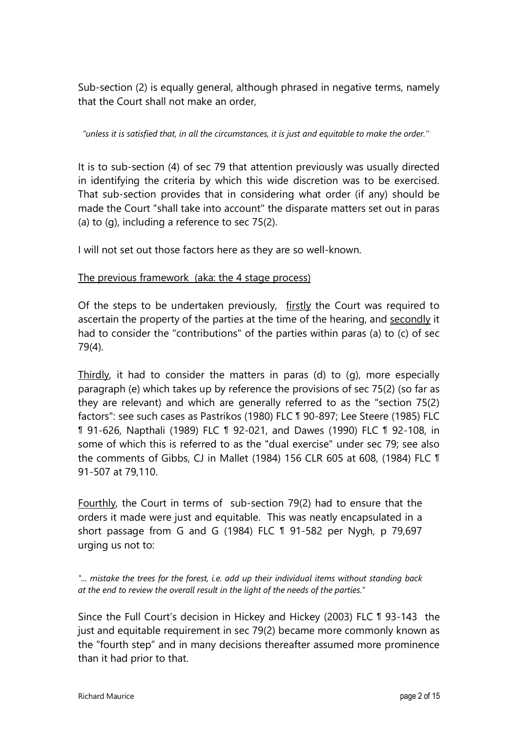Sub-section (2) is equally general, although phrased in negative terms, namely that the Court shall not make an order,

*"unless it is satisfied that, in all the circumstances, it is just and equitable to make the order.''* 

It is to sub-section (4) of sec 79 that attention previously was usually directed in identifying the criteria by which this wide discretion was to be exercised. That sub-section provides that in considering what order (if any) should be made the Court "shall take into account" the disparate matters set out in paras (a) to (g), including a reference to sec 75(2).

I will not set out those factors here as they are so well-known.

### The previous framework (aka: the 4 stage process)

Of the steps to be undertaken previously, firstly the Court was required to ascertain the property of the parties at the time of the hearing, and secondly it had to consider the "contributions" of the parties within paras (a) to (c) of sec 79(4).

Thirdly, it had to consider the matters in paras (d) to (q), more especially paragraph (e) which takes up by reference the provisions of sec 75(2) (so far as they are relevant) and which are generally referred to as the "section 75(2) factors": see such cases as Pastrikos (1980) FLC ¶ 90-897; Lee Steere (1985) FLC ¶ 91-626, Napthali (1989) FLC ¶ 92-021, and Dawes (1990) FLC ¶ 92-108, in some of which this is referred to as the "dual exercise" under sec 79; see also the comments of Gibbs, CJ in Mallet (1984) 156 CLR 605 at 608, (1984) FLC ¶ 91-507 at 79,110.

Fourthly, the Court in terms of sub-section 79(2) had to ensure that the orders it made were just and equitable. This was neatly encapsulated in a short passage from G and G (1984) FLC ¶ 91-582 per Nygh, p 79,697 urging us not to:

*"... mistake the trees for the forest, i.e. add up their individual items without standing back at the end to review the overall result in the light of the needs of the parties."* 

Since the Full Court's decision in Hickey and Hickey (2003) FLC ¶ 93-143the just and equitable requirement in sec 79(2) became more commonly known as the "fourth step" and in many decisions thereafter assumed more prominence than it had prior to that.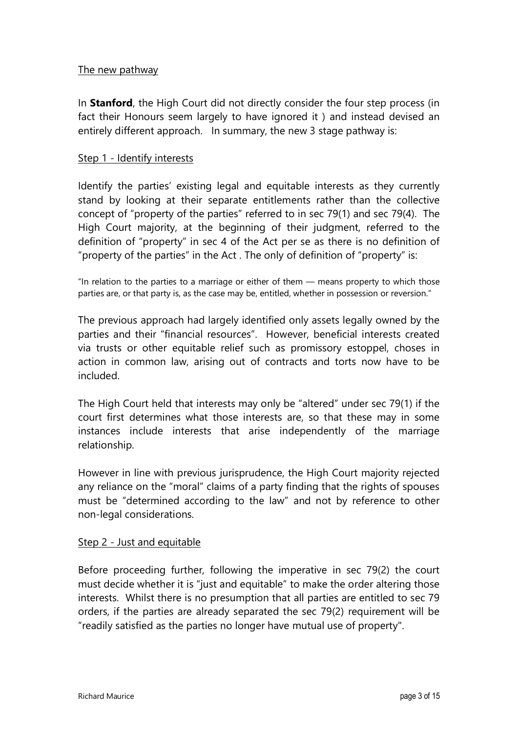### The new pathway

In **Stanford**, the High Court did not directly consider the four step process (in fact their Honours seem largely to have ignored it ) and instead devised an entirely different approach. In summary, the new 3 stage pathway is:

### Step 1 - Identify interests

Identify the parties' existing legal and equitable interests as they currently stand by looking at their separate entitlements rather than the collective concept of "property of the parties" referred to in sec 79(1) and sec 79(4). The High Court majority, at the beginning of their judgment, referred to the definition of "property" in sec 4 of the Act per se as there is no definition of "property of the parties" in the Act . The only of definition of "property" is:

"In relation to the parties to a marriage or either of them — means property to which those parties are, or that party is, as the case may be, entitled, whether in possession or reversion."

The previous approach had largely identified only assets legally owned by the parties and their "financial resources". However, beneficial interests created via trusts or other equitable relief such as promissory estoppel, choses in action in common law, arising out of contracts and torts now have to be included.

The High Court held that interests may only be "altered" under sec 79(1) if the court first determines what those interests are, so that these may in some instances include interests that arise independently of the marriage relationship.

However in line with previous jurisprudence, the High Court majority rejected any reliance on the "moral" claims of a party finding that the rights of spouses must be "determined according to the law" and not by reference to other non-legal considerations.

### Step 2 - Just and equitable

Before proceeding further, following the imperative in sec 79(2) the court must decide whether it is "just and equitable" to make the order altering those interests. Whilst there is no presumption that all parties are entitled to sec 79 orders, if the parties are already separated the sec 79(2) requirement will be "readily satisfied as the parties no longer have mutual use of property".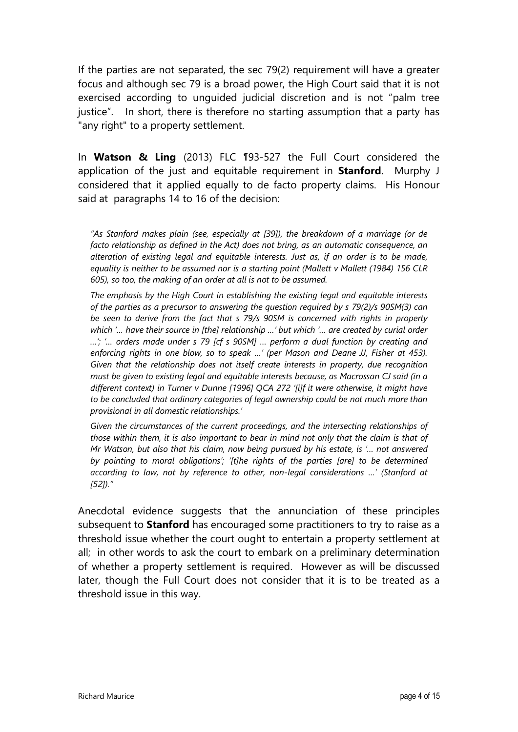If the parties are not separated, the sec 79(2) requirement will have a greater focus and although sec 79 is a broad power, the High Court said that it is not exercised according to unguided judicial discretion and is not "palm tree justice". In short, there is therefore no starting assumption that a party has "any right" to a property settlement.

In **Watson & Ling** (2013) FLC ¶93-527 the Full Court considered the application of the just and equitable requirement in **Stanford**. Murphy J considered that it applied equally to de facto property claims. His Honour said at paragraphs 14 to 16 of the decision:

*"As Stanford makes plain (see, especially at [39]), the breakdown of a marriage (or de facto relationship as defined in the Act) does not bring, as an automatic consequence, an alteration of existing legal and equitable interests. Just as, if an order is to be made, equality is neither to be assumed nor is a starting point (Mallett v Mallett (1984) 156 CLR 605), so too, the making of an order at all is not to be assumed.*

*The emphasis by the High Court in establishing the existing legal and equitable interests of the parties as a precursor to answering the question required by s 79(2)/s 90SM(3) can be seen to derive from the fact that s 79/s 90SM is concerned with rights in property which '… have their source in [the] relationship …' but which '… are created by curial order …'; '… orders made under s 79 [cf s 90SM] … perform a dual function by creating and enforcing rights in one blow, so to speak …' (per Mason and Deane JJ, Fisher at 453). Given that the relationship does not itself create interests in property, due recognition must be given to existing legal and equitable interests because, as Macrossan CJ said (in a different context) in Turner v Dunne [1996] QCA 272 '[i]f it were otherwise, it might have to be concluded that ordinary categories of legal ownership could be not much more than provisional in all domestic relationships.'*

*Given the circumstances of the current proceedings, and the intersecting relationships of those within them, it is also important to bear in mind not only that the claim is that of Mr Watson, but also that his claim, now being pursued by his estate, is '… not answered by pointing to moral obligations'; '[t]he rights of the parties [are] to be determined according to law, not by reference to other, non-legal considerations …' (Stanford at [52])."*

Anecdotal evidence suggests that the annunciation of these principles subsequent to **Stanford** has encouraged some practitioners to try to raise as a threshold issue whether the court ought to entertain a property settlement at all; in other words to ask the court to embark on a preliminary determination of whether a property settlement is required. However as will be discussed later, though the Full Court does not consider that it is to be treated as a threshold issue in this way.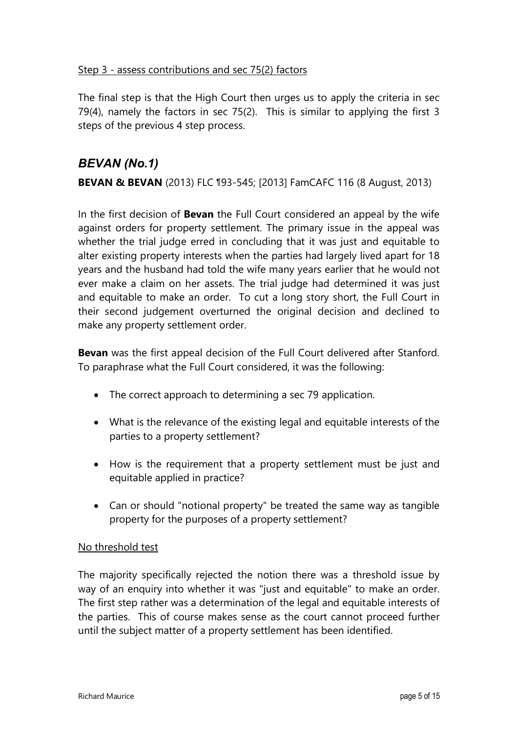### Step 3 - assess contributions and sec 75(2) factors

The final step is that the High Court then urges us to apply the criteria in sec 79(4), namely the factors in sec 75(2). This is similar to applying the first 3 steps of the previous 4 step process.

### *BEVAN (No.1)*

**BEVAN & BEVAN** (2013) FLC ¶93-545; [2013] FamCAFC 116 (8 August, 2013)

In the first decision of **Bevan** the Full Court considered an appeal by the wife against orders for property settlement. The primary issue in the appeal was whether the trial judge erred in concluding that it was just and equitable to alter existing property interests when the parties had largely lived apart for 18 years and the husband had told the wife many years earlier that he would not ever make a claim on her assets. The trial judge had determined it was just and equitable to make an order. To cut a long story short, the Full Court in their second judgement overturned the original decision and declined to make any property settlement order.

**Bevan** was the first appeal decision of the Full Court delivered after Stanford. To paraphrase what the Full Court considered, it was the following:

- The correct approach to determining a sec 79 application.
- What is the relevance of the existing legal and equitable interests of the parties to a property settlement?
- How is the requirement that a property settlement must be just and equitable applied in practice?
- Can or should "notional property" be treated the same way as tangible property for the purposes of a property settlement?

### No threshold test

The majority specifically rejected the notion there was a threshold issue by way of an enquiry into whether it was "just and equitable" to make an order. The first step rather was a determination of the legal and equitable interests of the parties. This of course makes sense as the court cannot proceed further until the subject matter of a property settlement has been identified.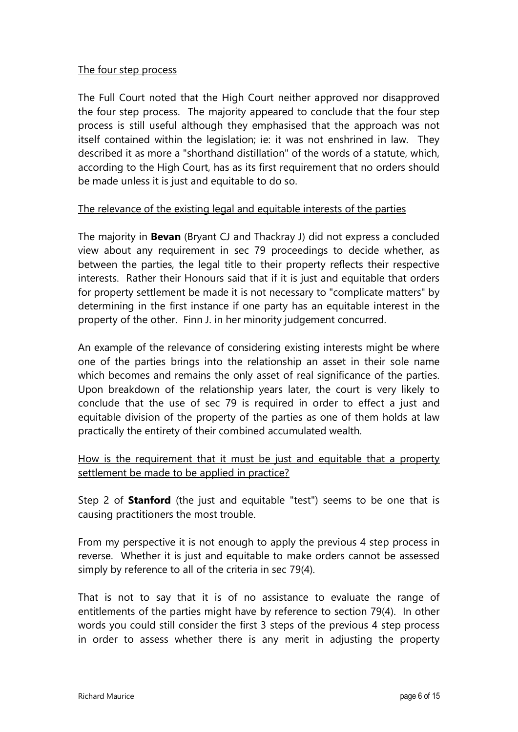### The four step process

The Full Court noted that the High Court neither approved nor disapproved the four step process. The majority appeared to conclude that the four step process is still useful although they emphasised that the approach was not itself contained within the legislation; ie: it was not enshrined in law. They described it as more a "shorthand distillation" of the words of a statute, which, according to the High Court, has as its first requirement that no orders should be made unless it is just and equitable to do so.

### The relevance of the existing legal and equitable interests of the parties

The majority in **Bevan** (Bryant CJ and Thackray J) did not express a concluded view about any requirement in sec 79 proceedings to decide whether, as between the parties, the legal title to their property reflects their respective interests. Rather their Honours said that if it is just and equitable that orders for property settlement be made it is not necessary to "complicate matters" by determining in the first instance if one party has an equitable interest in the property of the other. Finn J. in her minority judgement concurred.

An example of the relevance of considering existing interests might be where one of the parties brings into the relationship an asset in their sole name which becomes and remains the only asset of real significance of the parties. Upon breakdown of the relationship years later, the court is very likely to conclude that the use of sec 79 is required in order to effect a just and equitable division of the property of the parties as one of them holds at law practically the entirety of their combined accumulated wealth.

How is the requirement that it must be just and equitable that a property settlement be made to be applied in practice?

Step 2 of **Stanford** (the just and equitable "test") seems to be one that is causing practitioners the most trouble.

From my perspective it is not enough to apply the previous 4 step process in reverse. Whether it is just and equitable to make orders cannot be assessed simply by reference to all of the criteria in sec 79(4).

That is not to say that it is of no assistance to evaluate the range of entitlements of the parties might have by reference to section 79(4). In other words you could still consider the first 3 steps of the previous 4 step process in order to assess whether there is any merit in adjusting the property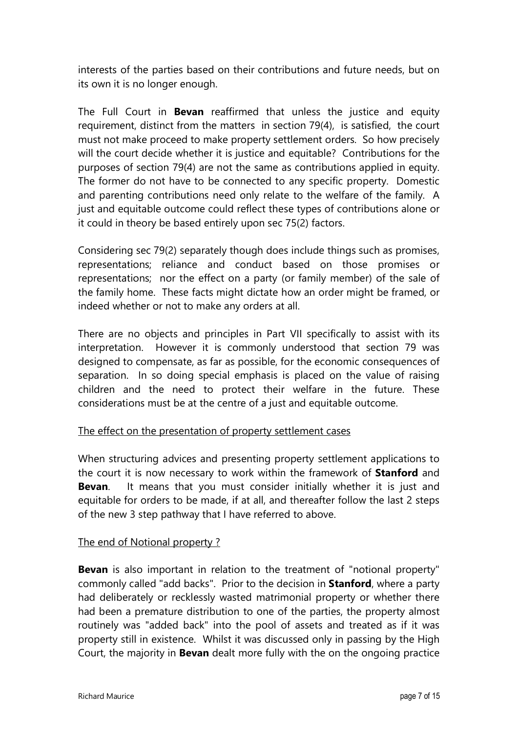interests of the parties based on their contributions and future needs, but on its own it is no longer enough.

The Full Court in **Bevan** reaffirmed that unless the justice and equity requirement, distinct from the matters in section 79(4), is satisfied, the court must not make proceed to make property settlement orders. So how precisely will the court decide whether it is justice and equitable? Contributions for the purposes of section 79(4) are not the same as contributions applied in equity. The former do not have to be connected to any specific property. Domestic and parenting contributions need only relate to the welfare of the family. A just and equitable outcome could reflect these types of contributions alone or it could in theory be based entirely upon sec 75(2) factors.

Considering sec 79(2) separately though does include things such as promises, representations; reliance and conduct based on those promises or representations; nor the effect on a party (or family member) of the sale of the family home. These facts might dictate how an order might be framed, or indeed whether or not to make any orders at all.

There are no objects and principles in Part VII specifically to assist with its interpretation. However it is commonly understood that section 79 was designed to compensate, as far as possible, for the economic consequences of separation. In so doing special emphasis is placed on the value of raising children and the need to protect their welfare in the future. These considerations must be at the centre of a just and equitable outcome.

### The effect on the presentation of property settlement cases

When structuring advices and presenting property settlement applications to the court it is now necessary to work within the framework of **Stanford** and **Bevan**. It means that you must consider initially whether it is just and equitable for orders to be made, if at all, and thereafter follow the last 2 steps of the new 3 step pathway that I have referred to above.

### The end of Notional property ?

**Bevan** is also important in relation to the treatment of "notional property" commonly called "add backs". Prior to the decision in **Stanford**, where a party had deliberately or recklessly wasted matrimonial property or whether there had been a premature distribution to one of the parties, the property almost routinely was "added back" into the pool of assets and treated as if it was property still in existence. Whilst it was discussed only in passing by the High Court, the majority in **Bevan** dealt more fully with the on the ongoing practice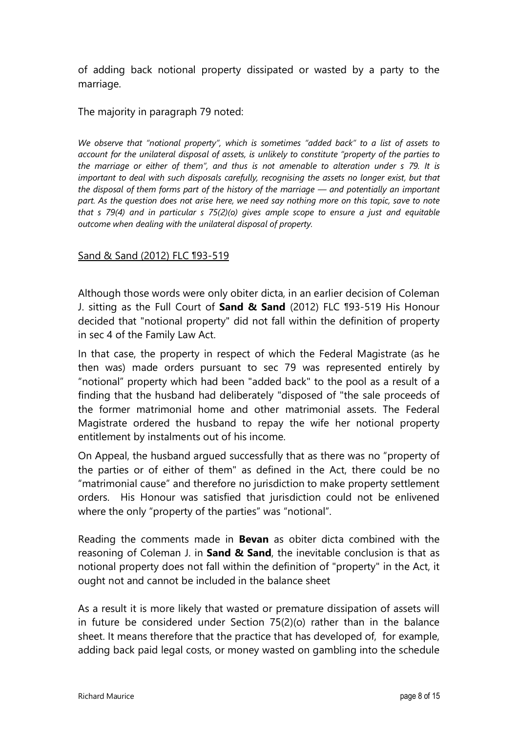of adding back notional property dissipated or wasted by a party to the marriage.

The majority in paragraph 79 noted:

*We observe that "notional property", which is sometimes "added back" to a list of assets to account for the unilateral disposal of assets, is unlikely to constitute "property of the parties to the marriage or either of them", and thus is not amenable to alteration under s 79. It is*  important to deal with such disposals carefully, recognising the assets no longer exist, but that *the disposal of them forms part of the history of the marriage — and potentially an important part. As the question does not arise here, we need say nothing more on this topic, save to note that s 79(4) and in particular s 75(2)(o) gives ample scope to ensure a just and equitable outcome when dealing with the unilateral disposal of property.*

#### Sand & Sand (2012) FLC ¶93-519

Although those words were only obiter dicta, in an earlier decision of Coleman J. sitting as the Full Court of **Sand & Sand** (2012) FLC ¶93-519 His Honour decided that "notional property" did not fall within the definition of property in sec 4 of the Family Law Act.

In that case, the property in respect of which the Federal Magistrate (as he then was) made orders pursuant to sec 79 was represented entirely by "notional" property which had been "added back" to the pool as a result of a finding that the husband had deliberately "disposed of "the sale proceeds of the former matrimonial home and other matrimonial assets. The Federal Magistrate ordered the husband to repay the wife her notional property entitlement by instalments out of his income.

On Appeal, the husband argued successfully that as there was no "property of the parties or of either of them" as defined in the Act, there could be no "matrimonial cause" and therefore no jurisdiction to make property settlement orders. His Honour was satisfied that jurisdiction could not be enlivened where the only "property of the parties" was "notional".

Reading the comments made in **Bevan** as obiter dicta combined with the reasoning of Coleman J. in **Sand & Sand**, the inevitable conclusion is that as notional property does not fall within the definition of "property" in the Act, it ought not and cannot be included in the balance sheet

As a result it is more likely that wasted or premature dissipation of assets will in future be considered under Section 75(2)(o) rather than in the balance sheet. It means therefore that the practice that has developed of, for example, adding back paid legal costs, or money wasted on gambling into the schedule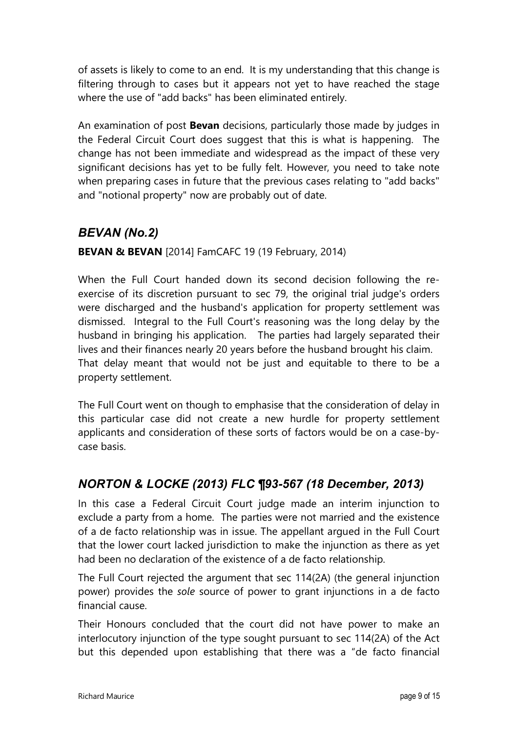of assets is likely to come to an end. It is my understanding that this change is filtering through to cases but it appears not yet to have reached the stage where the use of "add backs" has been eliminated entirely.

An examination of post **Bevan** decisions, particularly those made by judges in the Federal Circuit Court does suggest that this is what is happening. The change has not been immediate and widespread as the impact of these very significant decisions has yet to be fully felt. However, you need to take note when preparing cases in future that the previous cases relating to "add backs" and "notional property" now are probably out of date.

# *BEVAN (No.2)*

**BEVAN & BEVAN** [2014] FamCAFC 19 (19 February, 2014)

When the Full Court handed down its second decision following the reexercise of its discretion pursuant to sec 79, the original trial judge's orders were discharged and the husband's application for property settlement was dismissed. Integral to the Full Court's reasoning was the long delay by the husband in bringing his application. The parties had largely separated their lives and their finances nearly 20 years before the husband brought his claim. That delay meant that would not be just and equitable to there to be a property settlement.

The Full Court went on though to emphasise that the consideration of delay in this particular case did not create a new hurdle for property settlement applicants and consideration of these sorts of factors would be on a case-bycase basis.

# *NORTON & LOCKE (2013) FLC ¶93-567 (18 December, 2013)*

In this case a Federal Circuit Court judge made an interim injunction to exclude a party from a home. The parties were not married and the existence of a de facto relationship was in issue. The appellant argued in the Full Court that the lower court lacked jurisdiction to make the injunction as there as yet had been no declaration of the existence of a de facto relationship.

The Full Court rejected the argument that sec 114(2A) (the general injunction power) provides the *sole* source of power to grant injunctions in a de facto financial cause.

Their Honours concluded that the court did not have power to make an interlocutory injunction of the type sought pursuant to sec 114(2A) of the Act but this depended upon establishing that there was a "de facto financial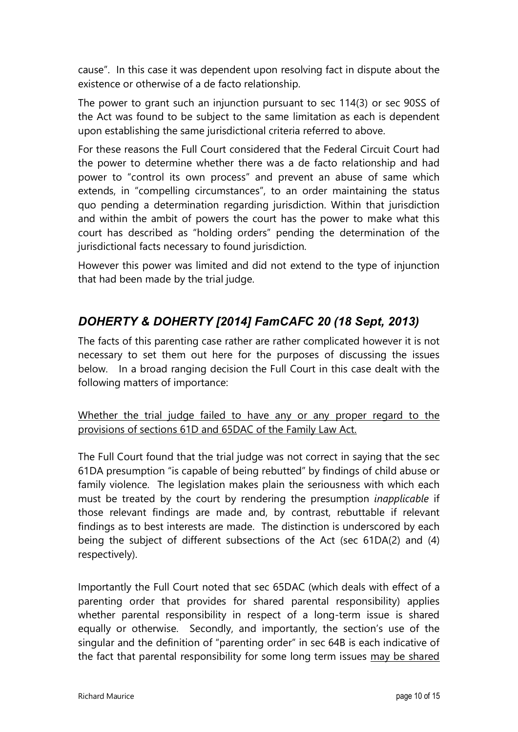cause". In this case it was dependent upon resolving fact in dispute about the existence or otherwise of a de facto relationship.

The power to grant such an injunction pursuant to sec 114(3) or sec 90SS of the Act was found to be subject to the same limitation as each is dependent upon establishing the same jurisdictional criteria referred to above.

For these reasons the Full Court considered that the Federal Circuit Court had the power to determine whether there was a de facto relationship and had power to "control its own process" and prevent an abuse of same which extends, in "compelling circumstances", to an order maintaining the status quo pending a determination regarding jurisdiction. Within that jurisdiction and within the ambit of powers the court has the power to make what this court has described as "holding orders" pending the determination of the jurisdictional facts necessary to found jurisdiction.

However this power was limited and did not extend to the type of injunction that had been made by the trial judge.

# *DOHERTY & DOHERTY [2014] FamCAFC 20 (18 Sept, 2013)*

The facts of this parenting case rather are rather complicated however it is not necessary to set them out here for the purposes of discussing the issues below. In a broad ranging decision the Full Court in this case dealt with the following matters of importance:

Whether the trial judge failed to have any or any proper regard to the provisions of sections 61D and 65DAC of the Family Law Act.

The Full Court found that the trial judge was not correct in saying that the sec 61DA presumption "is capable of being rebutted" by findings of child abuse or family violence. The legislation makes plain the seriousness with which each must be treated by the court by rendering the presumption *inapplicable* if those relevant findings are made and, by contrast, rebuttable if relevant findings as to best interests are made. The distinction is underscored by each being the subject of different subsections of the Act (sec 61DA(2) and (4) respectively).

Importantly the Full Court noted that sec 65DAC (which deals with effect of a parenting order that provides for shared parental responsibility) applies whether parental responsibility in respect of a long-term issue is shared equally or otherwise. Secondly, and importantly, the section's use of the singular and the definition of "parenting order" in sec 64B is each indicative of the fact that parental responsibility for some long term issues may be shared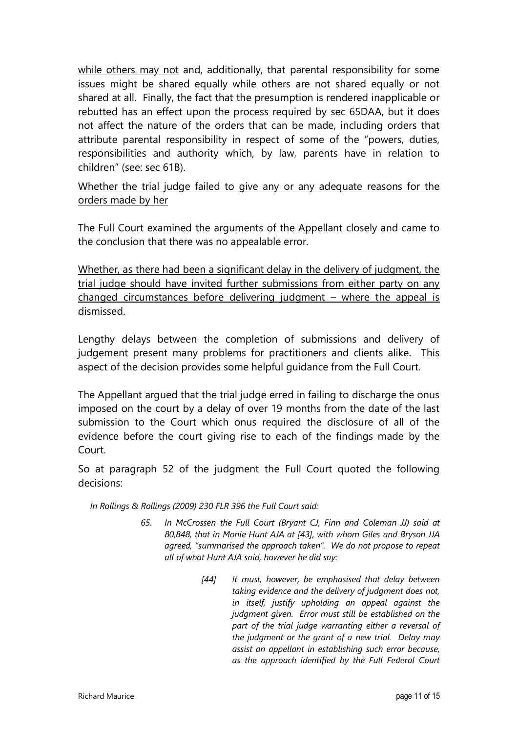while others may not and, additionally, that parental responsibility for some issues might be shared equally while others are not shared equally or not shared at all. Finally, the fact that the presumption is rendered inapplicable or rebutted has an effect upon the process required by sec 65DAA, but it does not affect the nature of the orders that can be made, including orders that attribute parental responsibility in respect of some of the "powers, duties, responsibilities and authority which, by law, parents have in relation to children" (see: sec 61B).

Whether the trial judge failed to give any or any adequate reasons for the orders made by her

The Full Court examined the arguments of the Appellant closely and came to the conclusion that there was no appealable error.

Whether, as there had been a significant delay in the delivery of judgment, the trial judge should have invited further submissions from either party on any changed circumstances before delivering judgment – where the appeal is dismissed.

Lengthy delays between the completion of submissions and delivery of judgement present many problems for practitioners and clients alike. This aspect of the decision provides some helpful guidance from the Full Court.

The Appellant argued that the trial judge erred in failing to discharge the onus imposed on the court by a delay of over 19 months from the date of the last submission to the Court which onus required the disclosure of all of the evidence before the court giving rise to each of the findings made by the Court.

So at paragraph 52 of the judgment the Full Court quoted the following decisions:

 *In Rollings & Rollings (2009) 230 FLR 396 the Full Court said:* 

- *65. In McCrossen the Full Court (Bryant CJ, Finn and Coleman JJ) said at 80,848, that in Monie Hunt AJA at [43], with whom Giles and Bryson JJA agreed, "summarised the approach taken". We do not propose to repeat all of what Hunt AJA said, however he did say:* 
	- *[44] It must, however, be emphasised that delay between taking evidence and the delivery of judgment does not, in itself, justify upholding an appeal against the judgment given. Error must still be established on the part of the trial judge warranting either a reversal of the judgment or the grant of a new trial. Delay may assist an appellant in establishing such error because, as the approach identified by the Full Federal Court*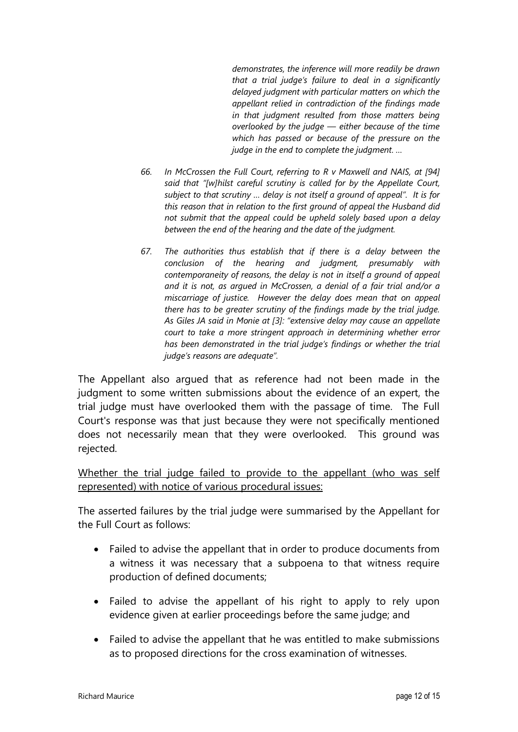*demonstrates, the inference will more readily be drawn that a trial judge's failure to deal in a significantly delayed judgment with particular matters on which the appellant relied in contradiction of the findings made in that judgment resulted from those matters being overlooked by the judge — either because of the time which has passed or because of the pressure on the judge in the end to complete the judgment. …* 

- *66. In McCrossen the Full Court, referring to R v Maxwell and NAIS, at [94] said that "[w]hilst careful scrutiny is called for by the Appellate Court, subject to that scrutiny … delay is not itself a ground of appeal". It is for this reason that in relation to the first ground of appeal the Husband did not submit that the appeal could be upheld solely based upon a delay between the end of the hearing and the date of the judgment.*
- *67. The authorities thus establish that if there is a delay between the conclusion of the hearing and judgment, presumably with contemporaneity of reasons, the delay is not in itself a ground of appeal and it is not, as argued in McCrossen, a denial of a fair trial and/or a miscarriage of justice. However the delay does mean that on appeal there has to be greater scrutiny of the findings made by the trial judge. As Giles JA said in Monie at [3]: "extensive delay may cause an appellate court to take a more stringent approach in determining whether error has been demonstrated in the trial judge's findings or whether the trial judge's reasons are adequate".*

The Appellant also argued that as reference had not been made in the judgment to some written submissions about the evidence of an expert, the trial judge must have overlooked them with the passage of time. The Full Court's response was that just because they were not specifically mentioned does not necessarily mean that they were overlooked. This ground was rejected.

Whether the trial judge failed to provide to the appellant (who was self represented) with notice of various procedural issues:

The asserted failures by the trial judge were summarised by the Appellant for the Full Court as follows:

- Failed to advise the appellant that in order to produce documents from a witness it was necessary that a subpoena to that witness require production of defined documents;
- Failed to advise the appellant of his right to apply to rely upon evidence given at earlier proceedings before the same judge; and
- Failed to advise the appellant that he was entitled to make submissions as to proposed directions for the cross examination of witnesses.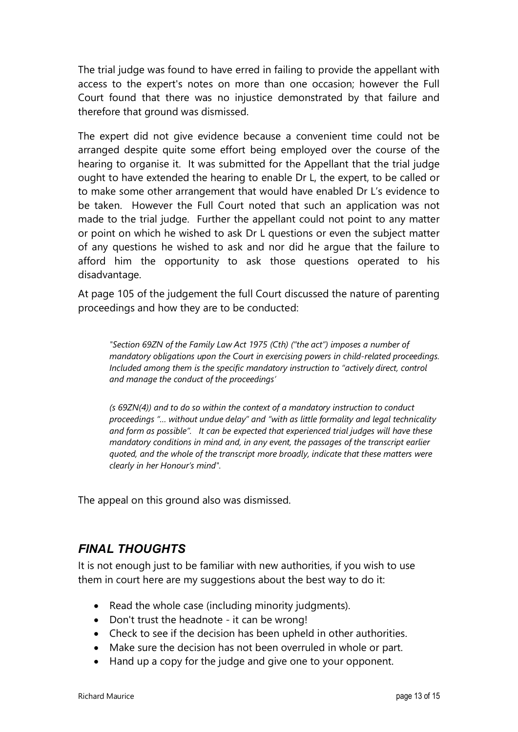The trial judge was found to have erred in failing to provide the appellant with access to the expert's notes on more than one occasion; however the Full Court found that there was no injustice demonstrated by that failure and therefore that ground was dismissed.

The expert did not give evidence because a convenient time could not be arranged despite quite some effort being employed over the course of the hearing to organise it. It was submitted for the Appellant that the trial judge ought to have extended the hearing to enable Dr L, the expert, to be called or to make some other arrangement that would have enabled Dr L's evidence to be taken. However the Full Court noted that such an application was not made to the trial judge. Further the appellant could not point to any matter or point on which he wished to ask Dr L questions or even the subject matter of any questions he wished to ask and nor did he argue that the failure to afford him the opportunity to ask those questions operated to his disadvantage.

At page 105 of the judgement the full Court discussed the nature of parenting proceedings and how they are to be conducted:

*"Section 69ZN of the Family Law Act 1975 (Cth) ("the act") imposes a number of mandatory obligations upon the Court in exercising powers in child-related proceedings. Included among them is the specific mandatory instruction to "actively direct, control and manage the conduct of the proceedings'* 

*(s 69ZN(4)) and to do so within the context of a mandatory instruction to conduct proceedings "… without undue delay" and "with as little formality and legal technicality and form as possible". It can be expected that experienced trial judges will have these mandatory conditions in mind and, in any event, the passages of the transcript earlier quoted, and the whole of the transcript more broadly, indicate that these matters were clearly in her Honour's mind".* 

The appeal on this ground also was dismissed.

# *FINAL THOUGHTS*

It is not enough just to be familiar with new authorities, if you wish to use them in court here are my suggestions about the best way to do it:

- Read the whole case (including minority judgments).
- Don't trust the headnote it can be wrong!
- Check to see if the decision has been upheld in other authorities.
- Make sure the decision has not been overruled in whole or part.
- Hand up a copy for the judge and give one to your opponent.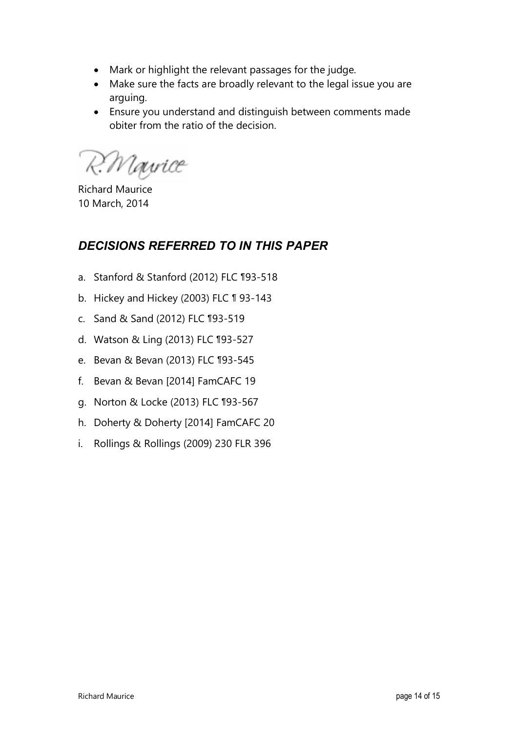- Mark or highlight the relevant passages for the judge.
- Make sure the facts are broadly relevant to the legal issue you are arguing.
- Ensure you understand and distinguish between comments made obiter from the ratio of the decision.

R. Mayrice

Richard Maurice 10 March, 2014

# *DECISIONS REFERRED TO IN THIS PAPER*

- a. Stanford & Stanford (2012) FLC ¶93-518
- b. Hickey and Hickey (2003) FLC ¶ 93-143
- c. Sand & Sand (2012) FLC ¶93-519
- d. Watson & Ling (2013) FLC ¶93-527
- e. Bevan & Bevan (2013) FLC ¶93-545
- f. Bevan & Bevan [2014] FamCAFC 19
- g. Norton & Locke (2013) FLC ¶93-567
- h. Doherty & Doherty [2014] FamCAFC 20
- i. Rollings & Rollings (2009) 230 FLR 396